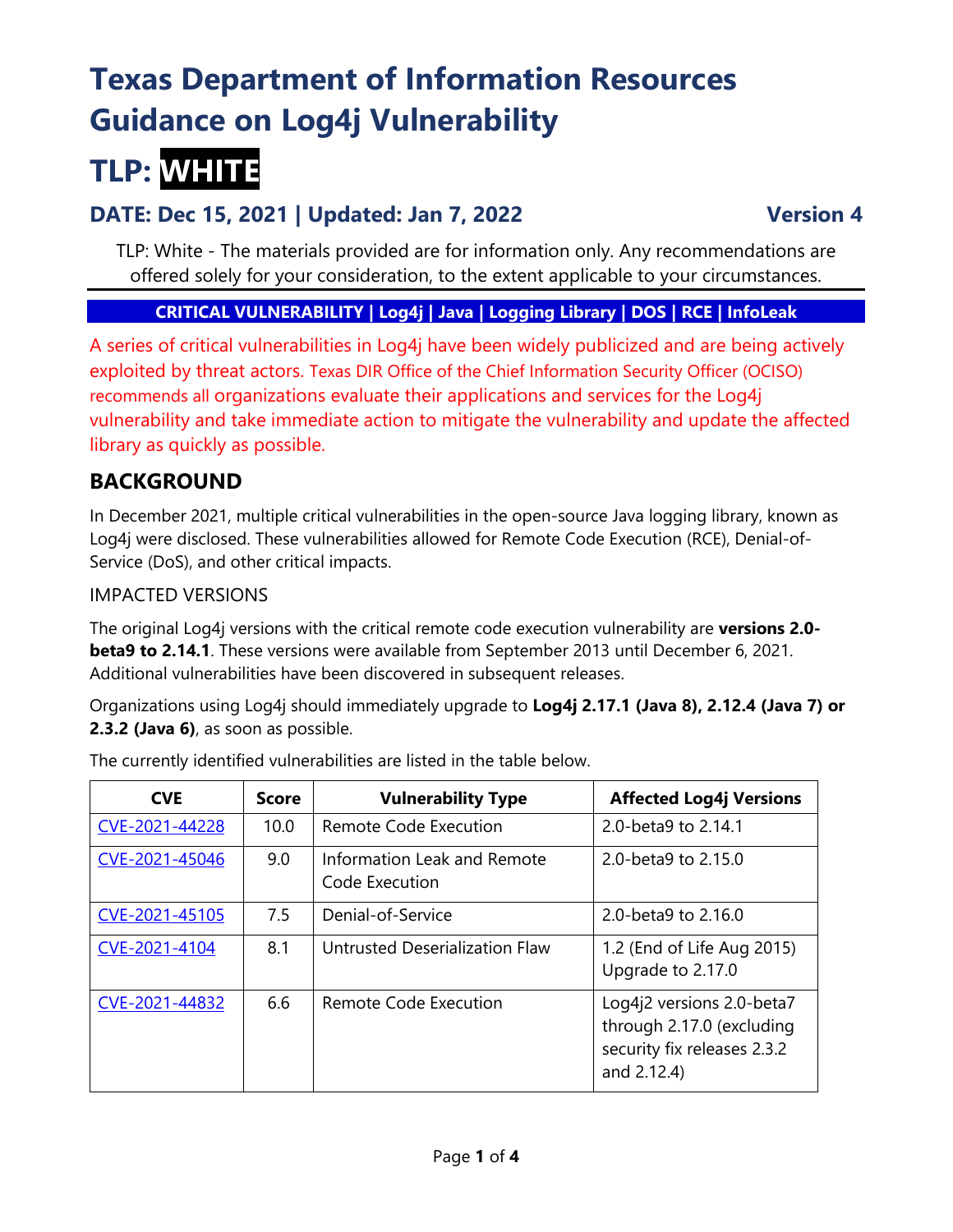# **Texas Department of Information Resources Guidance on Log4j Vulnerability**

# **TLP: WHITE**

# **DATE: Dec 15, 2021 | Updated: Jan 7, 2022 Version 4**

TLP: White - The materials provided are for information only. Any recommendations are offered solely for your consideration, to the extent applicable to your circumstances.

### **CRITICAL VULNERABILITY | Log4j | Java | Logging Library | DOS | RCE | InfoLeak**

A series of critical vulnerabilities in Log4j have been widely publicized and are being actively exploited by threat actors. Texas DIR Office of the Chief Information Security Officer (OCISO) recommends all organizations evaluate their applications and services for the Log4j vulnerability and take immediate action to mitigate the vulnerability and update the affected library as quickly as possible.

# **BACKGROUND**

In December 2021, multiple critical vulnerabilities in the open-source Java logging library, known as Log4j were disclosed. These vulnerabilities allowed for Remote Code Execution (RCE), Denial-of-Service (DoS), and other critical impacts.

#### IMPACTED VERSIONS

The original Log4j versions with the critical remote code execution vulnerability are **versions 2.0 beta9 to 2.14.1**. These versions were available from September 2013 until December 6, 2021. Additional vulnerabilities have been discovered in subsequent releases.

Organizations using Log4j should immediately upgrade to **Log4j 2.17.1 (Java 8), 2.12.4 (Java 7) or 2.3.2 (Java 6)**, as soon as possible.

| <b>CVE</b>     | <b>Score</b> | <b>Vulnerability Type</b>                     | <b>Affected Log4j Versions</b>                                                                       |
|----------------|--------------|-----------------------------------------------|------------------------------------------------------------------------------------------------------|
| CVE-2021-44228 | 10.0         | Remote Code Execution                         | 2.0-beta9 to 2.14.1                                                                                  |
| CVE-2021-45046 | 9.0          | Information Leak and Remote<br>Code Execution | 2.0-beta9 to 2.15.0                                                                                  |
| CVE-2021-45105 | 7.5          | Denial-of-Service                             | 2.0-beta9 to 2.16.0                                                                                  |
| CVE-2021-4104  | 8.1          | Untrusted Deserialization Flaw                | 1.2 (End of Life Aug 2015)<br>Upgrade to 2.17.0                                                      |
| CVE-2021-44832 | 6.6          | Remote Code Execution                         | Log4j2 versions 2.0-beta7<br>through 2.17.0 (excluding<br>security fix releases 2.3.2<br>and 2.12.4) |

The currently identified vulnerabilities are listed in the table below.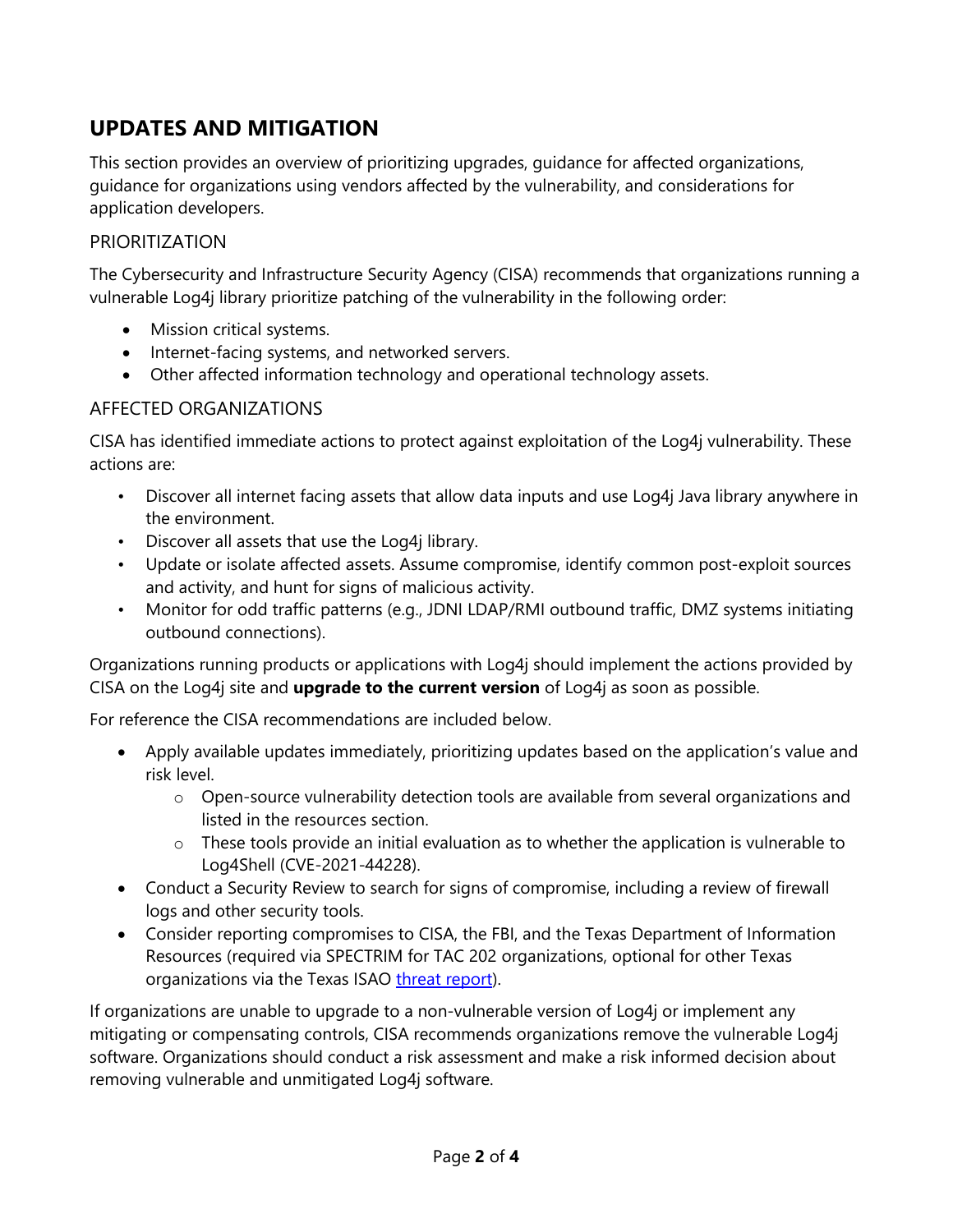# **UPDATES AND MITIGATION**

This section provides an overview of prioritizing upgrades, guidance for affected organizations, guidance for organizations using vendors affected by the vulnerability, and considerations for application developers.

#### PRIORITIZATION

The Cybersecurity and Infrastructure Security Agency (CISA) recommends that organizations running a vulnerable Log4j library prioritize patching of the vulnerability in the following order:

- Mission critical systems.
- Internet-facing systems, and networked servers.
- Other affected information technology and operational technology assets.

#### AFFECTED ORGANIZATIONS

CISA has identified immediate actions to protect against exploitation of the Log4j vulnerability. These actions are:

- Discover all internet facing assets that allow data inputs and use Log4j Java library anywhere in the environment.
- Discover all assets that use the Log4j library.
- Update or isolate affected assets. Assume compromise, identify common post-exploit sources and activity, and hunt for signs of malicious activity.
- Monitor for odd traffic patterns (e.g., JDNI LDAP/RMI outbound traffic, DMZ systems initiating outbound connections).

Organizations running products or applications with Log4j should implement the actions provided by CISA on the Log4j site and **upgrade to the current version** of Log4j as soon as possible.

For reference the CISA recommendations are included below.

- Apply available updates immediately, prioritizing updates based on the application's value and risk level.
	- $\circ$  Open-source vulnerability detection tools are available from several organizations and listed in the resources section.
	- o These tools provide an initial evaluation as to whether the application is vulnerable to Log4Shell (CVE-2021-44228).
- Conduct a Security Review to search for signs of compromise, including a review of firewall logs and other security tools.
- Consider reporting compromises to CISA, the FBI, and the Texas Department of Information Resources (required via SPECTRIM for TAC 202 organizations, optional for other Texas organizations via the Texas ISAO [threat report\)](https://dircommunity.force.com/isaothreatreport/s/report).

If organizations are unable to upgrade to a non-vulnerable version of Log4j or implement any mitigating or compensating controls, CISA recommends organizations remove the vulnerable Log4j software. Organizations should conduct a risk assessment and make a risk informed decision about removing vulnerable and unmitigated Log4j software.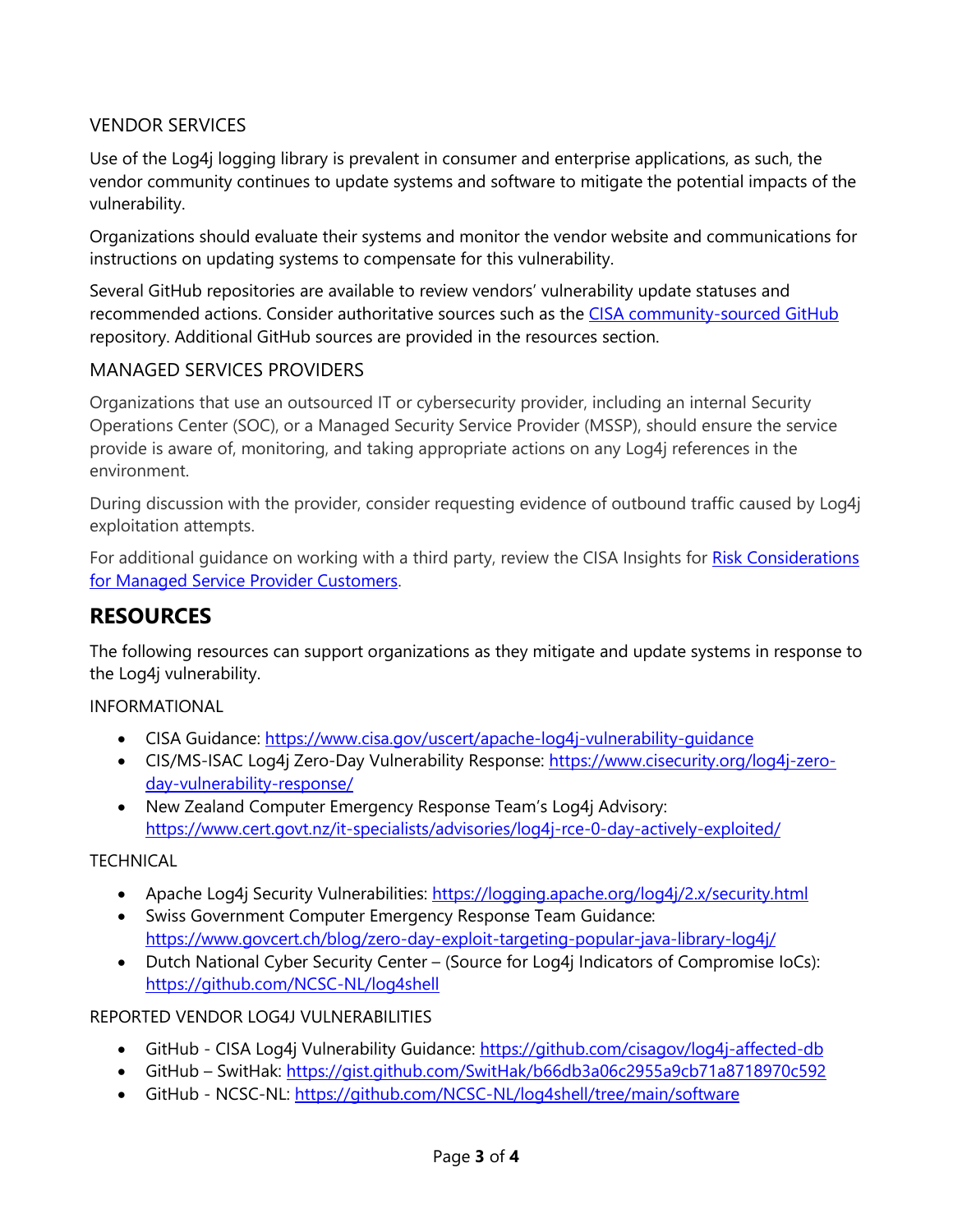### VENDOR SERVICES

Use of the Log4j logging library is prevalent in consumer and enterprise applications, as such, the vendor community continues to update systems and software to mitigate the potential impacts of the vulnerability.

Organizations should evaluate their systems and monitor the vendor website and communications for instructions on updating systems to compensate for this vulnerability.

Several GitHub repositories are available to review vendors' vulnerability update statuses and recommended actions. Consider authoritative sources such as the [CISA community-sourced GitHub](https://github.com/cisagov/log4j-affected-db) repository. Additional GitHub sources are provided in the resources section.

#### MANAGED SERVICES PROVIDERS

Organizations that use an outsourced IT or cybersecurity provider, including an internal Security Operations Center (SOC), or a Managed Security Service Provider (MSSP), should ensure the service provide is aware of, monitoring, and taking appropriate actions on any Log4j references in the environment.

During discussion with the provider, consider requesting evidence of outbound traffic caused by Log4j exploitation attempts.

For additional guidance on working with a third party, review the CISA Insights for Risk Considerations [for Managed Service](https://www.cisa.gov/sites/default/files/publications/cisa-insights_risk-considerations-for-msp-customers_508.pdf) Provider Customers.

# **RESOURCES**

The following resources can support organizations as they mitigate and update systems in response to the Log4j vulnerability.

INFORMATIONAL

- CISA Guidance:<https://www.cisa.gov/uscert/apache-log4j-vulnerability-guidance>
- CIS/MS-ISAC Log4j Zero-Day Vulnerability Response: [https://www.cisecurity.org/log4j-zero](https://www.cisecurity.org/log4j-zero-day-vulnerability-response/)[day-vulnerability-response/](https://www.cisecurity.org/log4j-zero-day-vulnerability-response/)
- New Zealand Computer Emergency Response Team's Log4j Advisory: <https://www.cert.govt.nz/it-specialists/advisories/log4j-rce-0-day-actively-exploited/>

### **TECHNICAL**

- Apache Log4j Security Vulnerabilities:<https://logging.apache.org/log4j/2.x/security.html>
- Swiss Government Computer Emergency Response Team Guidance: <https://www.govcert.ch/blog/zero-day-exploit-targeting-popular-java-library-log4j/>
- Dutch National Cyber Security Center (Source for Log4j Indicators of Compromise IoCs): <https://github.com/NCSC-NL/log4shell>

#### REPORTED VENDOR LOG4J VULNERABILITIES

- GitHub CISA Log4j Vulnerability Guidance:<https://github.com/cisagov/log4j-affected-db>
- GitHub SwitHak:<https://gist.github.com/SwitHak/b66db3a06c2955a9cb71a8718970c592>
- GitHub NCSC-NL:<https://github.com/NCSC-NL/log4shell/tree/main/software>